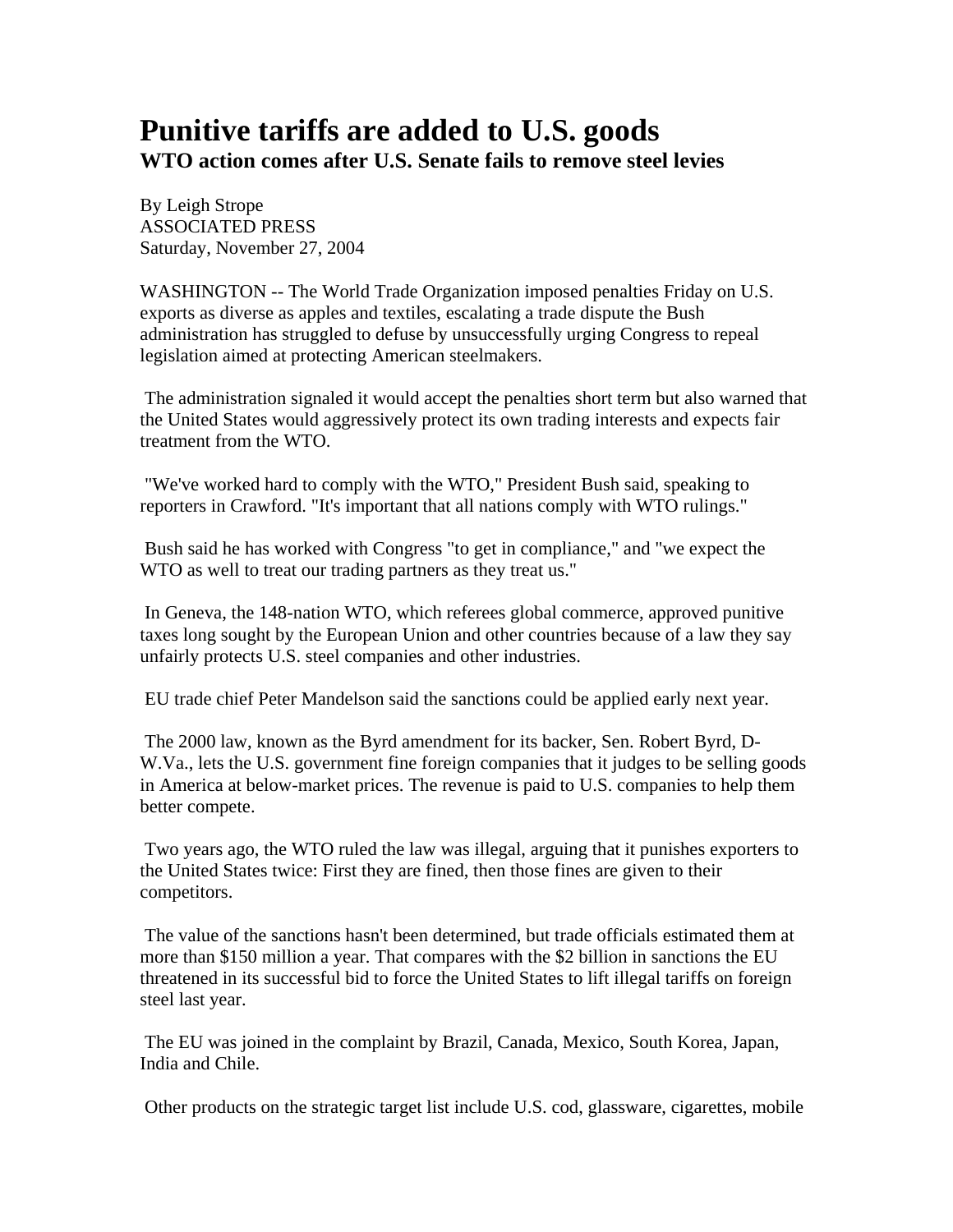## **Punitive tariffs are added to U.S. goods WTO action comes after U.S. Senate fails to remove steel levies**

By Leigh Strope ASSOCIATED PRESS Saturday, November 27, 2004

WASHINGTON -- The World Trade Organization imposed penalties Friday on U.S. exports as diverse as apples and textiles, escalating a trade dispute the Bush administration has struggled to defuse by unsuccessfully urging Congress to repeal legislation aimed at protecting American steelmakers.

 The administration signaled it would accept the penalties short term but also warned that the United States would aggressively protect its own trading interests and expects fair treatment from the WTO.

 "We've worked hard to comply with the WTO," President Bush said, speaking to reporters in Crawford. "It's important that all nations comply with WTO rulings."

 Bush said he has worked with Congress "to get in compliance," and "we expect the WTO as well to treat our trading partners as they treat us."

 In Geneva, the 148-nation WTO, which referees global commerce, approved punitive taxes long sought by the European Union and other countries because of a law they say unfairly protects U.S. steel companies and other industries.

EU trade chief Peter Mandelson said the sanctions could be applied early next year.

 The 2000 law, known as the Byrd amendment for its backer, Sen. Robert Byrd, D-W.Va., lets the U.S. government fine foreign companies that it judges to be selling goods in America at below-market prices. The revenue is paid to U.S. companies to help them better compete.

 Two years ago, the WTO ruled the law was illegal, arguing that it punishes exporters to the United States twice: First they are fined, then those fines are given to their competitors.

 The value of the sanctions hasn't been determined, but trade officials estimated them at more than \$150 million a year. That compares with the \$2 billion in sanctions the EU threatened in its successful bid to force the United States to lift illegal tariffs on foreign steel last year.

 The EU was joined in the complaint by Brazil, Canada, Mexico, South Korea, Japan, India and Chile.

Other products on the strategic target list include U.S. cod, glassware, cigarettes, mobile